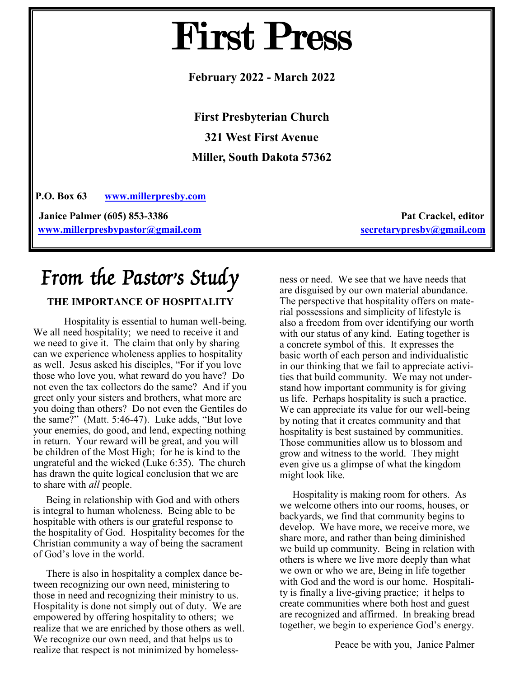# First Press

**February 2022 - March 2022**

**First Presbyterian Church 321 West First Avenue Miller, South Dakota 57362**

**P.O. Box 63 [www.millerpresby.com](http://www.millerpresby.com)**

**Janice Palmer (605) 853-3386 Pat Crackel, editor Pat Crackel, editor [www.millerpresbypastor@gmail.com](http://www.millerpresbypastor@gmail.com) [secretarypresby@gmail.com](mailto:secretarypresby@gmail.com)**

# From the Pastor's Study

#### **THE IMPORTANCE OF HOSPITALITY**

Hospitality is essential to human well-being. We all need hospitality; we need to receive it and we need to give it. The claim that only by sharing can we experience wholeness applies to hospitality as well. Jesus asked his disciples, "For if you love those who love you, what reward do you have? Do not even the tax collectors do the same? And if you greet only your sisters and brothers, what more are you doing than others? Do not even the Gentiles do the same?" (Matt. 5:46-47). Luke adds, "But love your enemies, do good, and lend, expecting nothing in return. Your reward will be great, and you will be children of the Most High; for he is kind to the ungrateful and the wicked (Luke 6:35). The church has drawn the quite logical conclusion that we are to share with *all* people.

 Being in relationship with God and with others is integral to human wholeness. Being able to be hospitable with others is our grateful response to the hospitality of God. Hospitality becomes for the Christian community a way of being the sacrament of God's love in the world.

 There is also in hospitality a complex dance between recognizing our own need, ministering to those in need and recognizing their ministry to us. Hospitality is done not simply out of duty. We are empowered by offering hospitality to others; we realize that we are enriched by those others as well. We recognize our own need, and that helps us to realize that respect is not minimized by homelessness or need. We see that we have needs that are disguised by our own material abundance. The perspective that hospitality offers on material possessions and simplicity of lifestyle is also a freedom from over identifying our worth with our status of any kind. Eating together is a concrete symbol of this. It expresses the basic worth of each person and individualistic in our thinking that we fail to appreciate activities that build community. We may not understand how important community is for giving us life. Perhaps hospitality is such a practice. We can appreciate its value for our well-being by noting that it creates community and that hospitality is best sustained by communities. Those communities allow us to blossom and grow and witness to the world. They might even give us a glimpse of what the kingdom might look like.

 Hospitality is making room for others. As we welcome others into our rooms, houses, or backyards, we find that community begins to develop. We have more, we receive more, we share more, and rather than being diminished we build up community. Being in relation with others is where we live more deeply than what we own or who we are, Being in life together with God and the word is our home. Hospitality is finally a live-giving practice; it helps to create communities where both host and guest are recognized and affirmed. In breaking bread together, we begin to experience God's energy.

Peace be with you, Janice Palmer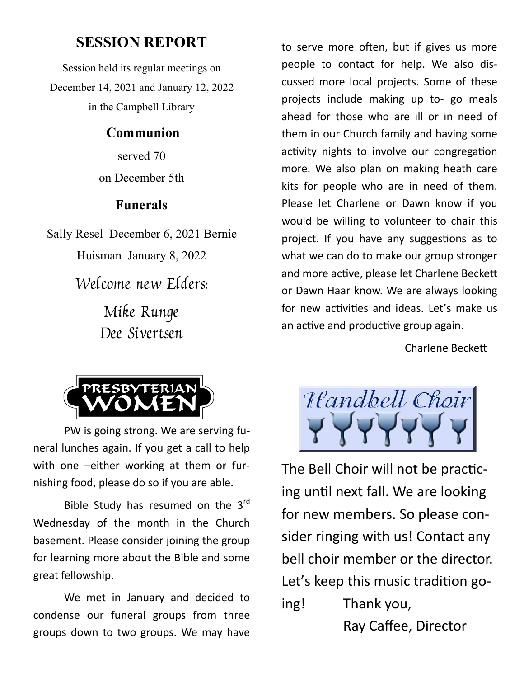### **SESSION REPORT**

Session held its regular meetings on December 14, 2021 and January 12, 2022 in the Campbell Library

#### **Communion**

served 70 on December 5th

#### **Funerals**

Sally Resel December 6, 2021 Bernie Huisman January 8, 2022 Welcome new Elders: Mike Runge

Dee Sivertsen



PW is going strong. We are serving funeral lunches again. If you get a call to help with one –either working at them or furnishing food, please do so if you are able.

Bible Study has resumed on the 3<sup>rd</sup> Wednesday of the month in the Church basement. Please consider joining the group for learning more about the Bible and some great fellowship.

We met in January and decided to condense our funeral groups from three groups down to two groups. We may have

to serve more often, but if gives us more people to contact for help. We also discussed more local projects. Some of these projects include making up to- go meals ahead for those who are ill or in need of them in our Church family and having some activity nights to involve our congregation more. We also plan on making heath care kits for people who are in need of them. Please let Charlene or Dawn know if you would be willing to volunteer to chair this project. If you have any suggestions as to what we can do to make our group stronger and more active, please let Charlene Beckett or Dawn Haar know. We are always looking for new activities and ideas. Let's make us an active and productive group again.

Charlene Beckett



The Bell Choir will not be practicing until next fall. We are looking for new members. So please consider ringing with us! Contact any bell choir member or the director. Let's keep this music tradition going! Thank you,

Ray Caffee, Director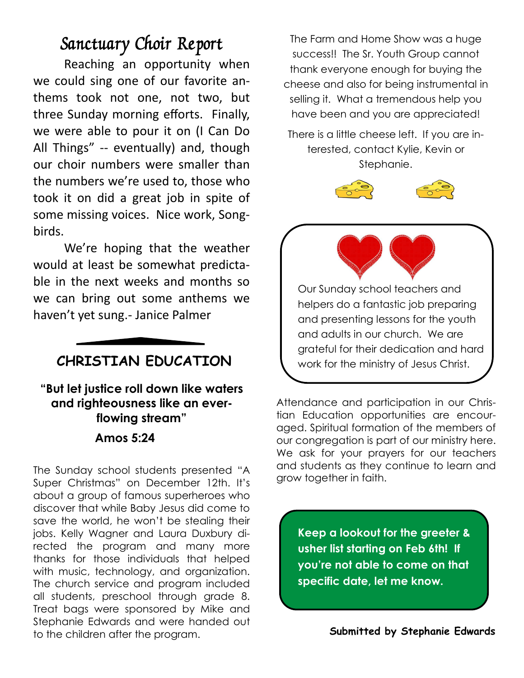# Sanctuary Choir Report

Reaching an opportunity when we could sing one of our favorite anthems took not one, not two, but three Sunday morning efforts. Finally, we were able to pour it on (I Can Do All Things" -- eventually) and, though our choir numbers were smaller than the numbers we're used to, those who took it on did a great job in spite of some missing voices. Nice work, Songbirds.

We're hoping that the weather would at least be somewhat predictable in the next weeks and months so we can bring out some anthems we haven't yet sung.- Janice Palmer

## **CHRISTIAN EDUCATION**

**"But let justice roll down like waters and righteousness like an everflowing stream" Amos 5:24** 

The Sunday school students presented "A Super Christmas" on December 12th. It's about a group of famous superheroes who discover that while Baby Jesus did come to save the world, he won't be stealing their jobs. Kelly Wagner and Laura Duxbury directed the program and many more thanks for those individuals that helped with music, technology, and organization. The church service and program included all students, preschool through grade 8. Treat bags were sponsored by Mike and Stephanie Edwards and were handed out to the children after the program.

The Farm and Home Show was a huge success!! The Sr. Youth Group cannot thank everyone enough for buying the cheese and also for being instrumental in selling it. What a tremendous help you have been and you are appreciated!

There is a little cheese left. If you are interested, contact Kylie, Kevin or Stephanie.



Our Sunday school teachers and helpers do a fantastic job preparing and presenting lessons for the youth and adults in our church. We are grateful for their dedication and hard work for the ministry of Jesus Christ.

Attendance and participation in our Christian Education opportunities are encouraged. Spiritual formation of the members of our congregation is part of our ministry here. We ask for your prayers for our teachers and students as they continue to learn and grow together in faith.

**Keep a lookout for the greeter & usher list starting on Feb 6th! If you're not able to come on that specific date, let me know.** 

**Submitted by Stephanie Edwards**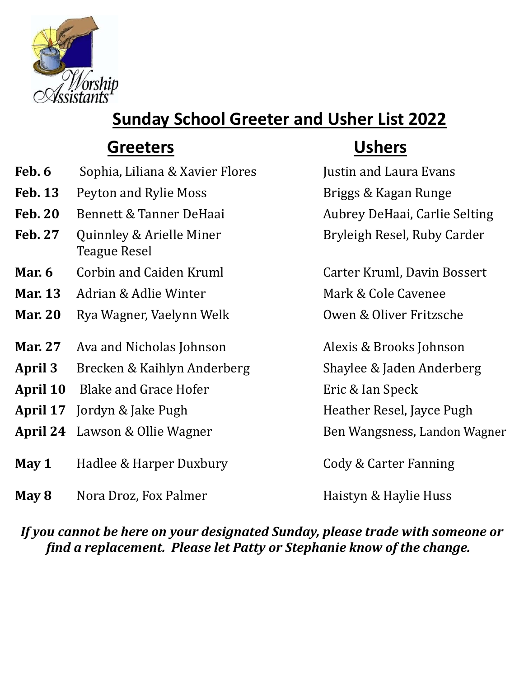

# **Sunday School Greeter and Usher List 2022**

# **Greeters Ushers**

- **Feb. 6** Sophia, Liliana & Xavier Flores Justin and Laura Evans
- **Feb. 13** Peyton and Rylie Moss Briggs & Kagan Runge
- **Feb. 20** Bennett & Tanner DeHaai Aubrey DeHaai, Carlie Selting
- **Feb. 27** Quinnley & Arielle Miner Bryleigh Resel, Ruby Carder Teague Resel
- **Mar. 6** Corbin and Caiden Kruml Carter Kruml, Davin Bossert
- **Mar. 13** Adrian & Adlie Winter Mark & Cole Cavenee
- **Mar. 20** Rya Wagner, Vaelynn Welk **Owen & Oliver Fritzsche**
- **Mar. 27** Ava and Nicholas Johnson Alexis & Brooks Johnson
- **April 3** Brecken & Kaihlyn Anderberg Shaylee & Jaden Anderberg
- **April 10** Blake and Grace Hofer Eric & Ian Speck
- **April 17** Jordyn & Jake Pugh **Heather Resel, Jayce Pugh**
- **April 24** Lawson & Ollie Wagner Ben Wangsness, Landon Wagner
- **May 1** Hadlee & Harper Duxbury Cody & Carter Fanning
- **May 8** Nora Droz, Fox Palmer **Haistyn & Haylie Huss**

*If you cannot be here on your designated Sunday, please trade with someone or find a replacement. Please let Patty or Stephanie know of the change.*